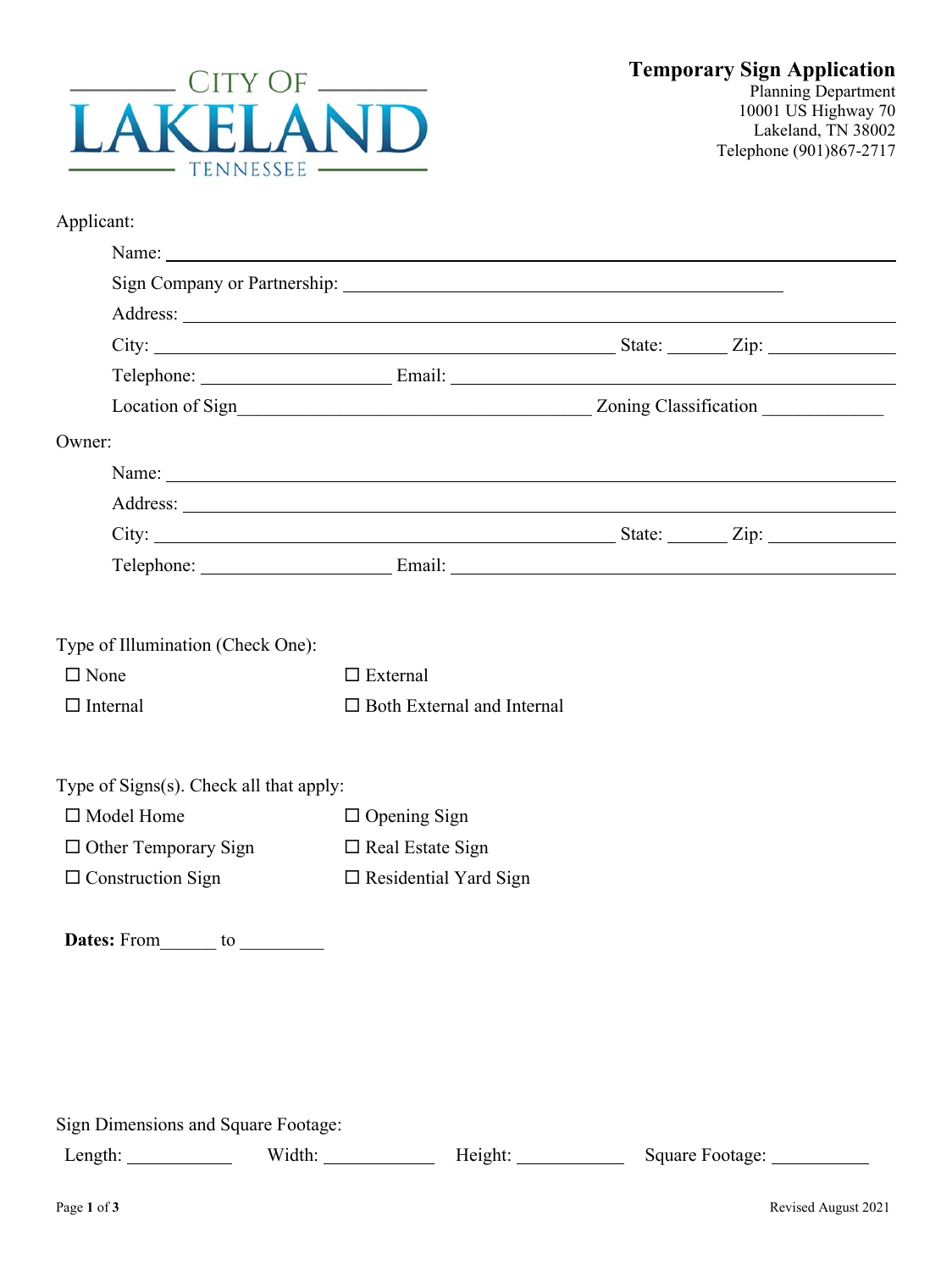

| Applicant: |
|------------|
|------------|

|                                         | Location of Sign<br>Manuscripture and Contact Contact Contact Contact Contact Contact Contact Contact Contact Contact Contact Contact Contact Contact Contact Contact Contact Contact Contact Contact Contact Contact Contact Co |                                                                                                                                                                                                                                | Zoning Classification |                              |
|-----------------------------------------|----------------------------------------------------------------------------------------------------------------------------------------------------------------------------------------------------------------------------------|--------------------------------------------------------------------------------------------------------------------------------------------------------------------------------------------------------------------------------|-----------------------|------------------------------|
| Owner:                                  |                                                                                                                                                                                                                                  |                                                                                                                                                                                                                                |                       |                              |
|                                         |                                                                                                                                                                                                                                  |                                                                                                                                                                                                                                |                       |                              |
|                                         |                                                                                                                                                                                                                                  |                                                                                                                                                                                                                                |                       |                              |
|                                         |                                                                                                                                                                                                                                  | City: $\frac{1}{\sqrt{2}}$ State: $\frac{1}{\sqrt{2}}$ Zip:                                                                                                                                                                    |                       |                              |
|                                         |                                                                                                                                                                                                                                  | Telephone: Email: Email: Email: Email: Email: Email: Email: Email: Email: Email: Email: Email: Email: Email: Email: Email: Email: Email: Email: Email: Email: Email: Email: Email: Email: Email: Email: Email: Email: Email: E |                       |                              |
|                                         |                                                                                                                                                                                                                                  |                                                                                                                                                                                                                                |                       |                              |
| Type of Illumination (Check One):       |                                                                                                                                                                                                                                  |                                                                                                                                                                                                                                |                       |                              |
| $\Box$ None                             |                                                                                                                                                                                                                                  | $\Box$ External                                                                                                                                                                                                                |                       |                              |
| $\Box$ Internal                         |                                                                                                                                                                                                                                  | $\Box$ Both External and Internal                                                                                                                                                                                              |                       |                              |
|                                         |                                                                                                                                                                                                                                  |                                                                                                                                                                                                                                |                       |                              |
| Type of Signs(s). Check all that apply: |                                                                                                                                                                                                                                  |                                                                                                                                                                                                                                |                       |                              |
| $\Box$ Model Home                       |                                                                                                                                                                                                                                  | $\Box$ Opening Sign                                                                                                                                                                                                            |                       |                              |
| $\Box$ Other Temporary Sign             |                                                                                                                                                                                                                                  | $\Box$ Real Estate Sign                                                                                                                                                                                                        |                       |                              |
| $\Box$ Construction Sign                |                                                                                                                                                                                                                                  | $\Box$ Residential Yard Sign                                                                                                                                                                                                   |                       |                              |
|                                         |                                                                                                                                                                                                                                  |                                                                                                                                                                                                                                |                       |                              |
|                                         |                                                                                                                                                                                                                                  |                                                                                                                                                                                                                                |                       |                              |
|                                         |                                                                                                                                                                                                                                  |                                                                                                                                                                                                                                |                       |                              |
|                                         |                                                                                                                                                                                                                                  |                                                                                                                                                                                                                                |                       |                              |
|                                         |                                                                                                                                                                                                                                  |                                                                                                                                                                                                                                |                       |                              |
|                                         |                                                                                                                                                                                                                                  |                                                                                                                                                                                                                                |                       |                              |
|                                         |                                                                                                                                                                                                                                  |                                                                                                                                                                                                                                |                       |                              |
| Sign Dimensions and Square Footage:     |                                                                                                                                                                                                                                  |                                                                                                                                                                                                                                |                       |                              |
|                                         |                                                                                                                                                                                                                                  | Width: Height: Height:                                                                                                                                                                                                         |                       | Square Footage: ____________ |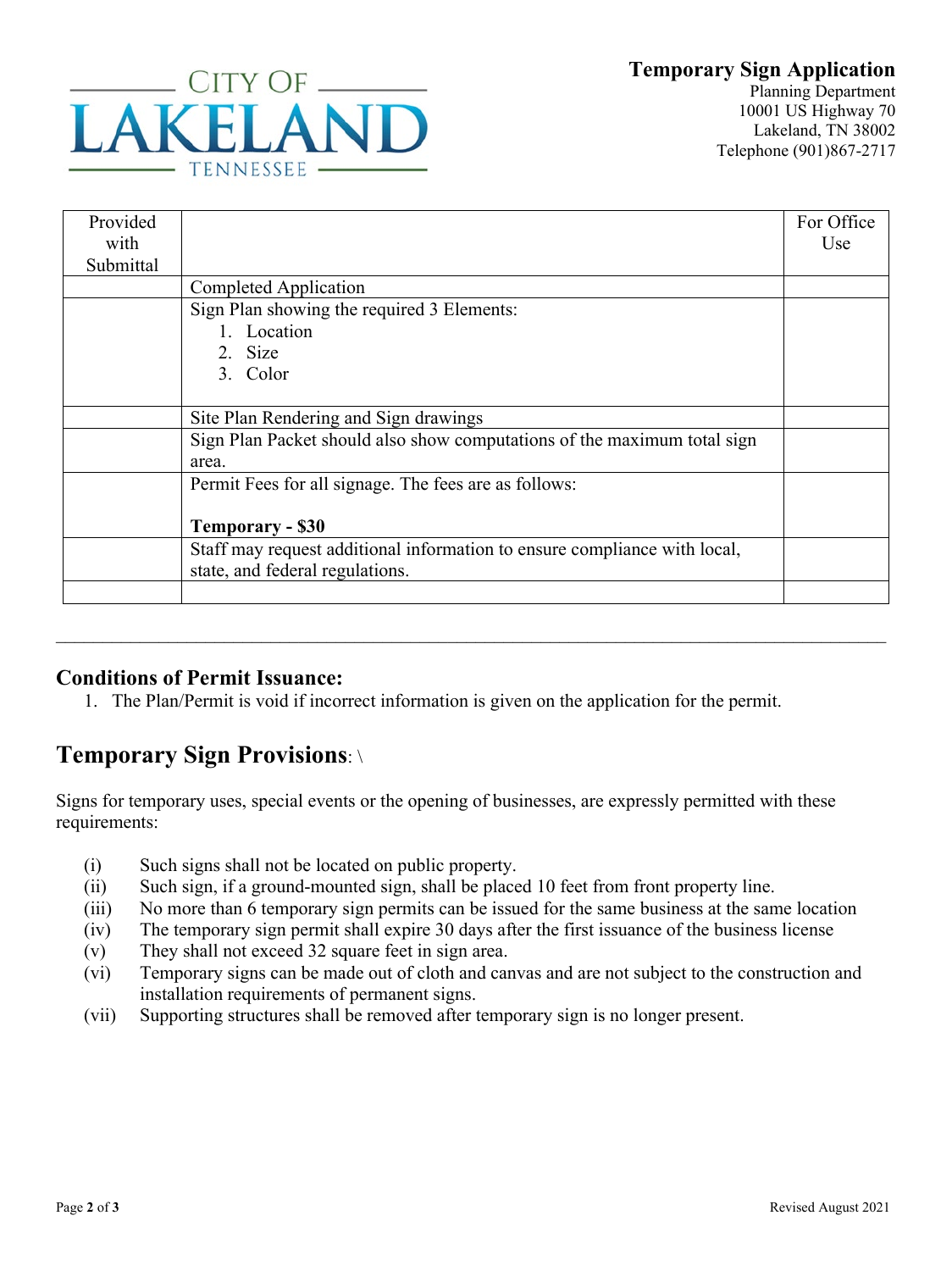## **Temporary Sign Application**



Planning Department 10001 US Highway 70 Lakeland, TN 38002 Telephone (901)867-2717

| Provided  |                                                                           | For Office |
|-----------|---------------------------------------------------------------------------|------------|
| with      |                                                                           | Use        |
| Submittal |                                                                           |            |
|           | Completed Application                                                     |            |
|           | Sign Plan showing the required 3 Elements:                                |            |
|           | 1. Location                                                               |            |
|           | 2. Size                                                                   |            |
|           | 3. Color                                                                  |            |
|           |                                                                           |            |
|           | Site Plan Rendering and Sign drawings                                     |            |
|           | Sign Plan Packet should also show computations of the maximum total sign  |            |
|           | area.                                                                     |            |
|           | Permit Fees for all signage. The fees are as follows:                     |            |
|           |                                                                           |            |
|           | <b>Temporary - \$30</b>                                                   |            |
|           | Staff may request additional information to ensure compliance with local, |            |
|           | state, and federal regulations.                                           |            |
|           |                                                                           |            |

## **Conditions of Permit Issuance:**

1. The Plan/Permit is void if incorrect information is given on the application for the permit.

\_\_\_\_\_\_\_\_\_\_\_\_\_\_\_\_\_\_\_\_\_\_\_\_\_\_\_\_\_\_\_\_\_\_\_\_\_\_\_\_\_\_\_\_\_\_\_\_\_\_\_\_\_\_\_\_\_\_\_\_\_\_\_\_\_\_\_\_\_\_\_\_\_\_\_\_\_\_\_\_\_\_\_\_\_\_\_\_\_

## **Temporary Sign Provisions**: \

Signs for temporary uses, special events or the opening of businesses, are expressly permitted with these requirements:

- (i) Such signs shall not be located on public property.
- (ii) Such sign, if a ground-mounted sign, shall be placed 10 feet from front property line.
- (iii) No more than 6 temporary sign permits can be issued for the same business at the same location
- (iv) The temporary sign permit shall expire 30 days after the first issuance of the business license
- (v) They shall not exceed 32 square feet in sign area.
- (vi) Temporary signs can be made out of cloth and canvas and are not subject to the construction and installation requirements of permanent signs.
- (vii) Supporting structures shall be removed after temporary sign is no longer present.